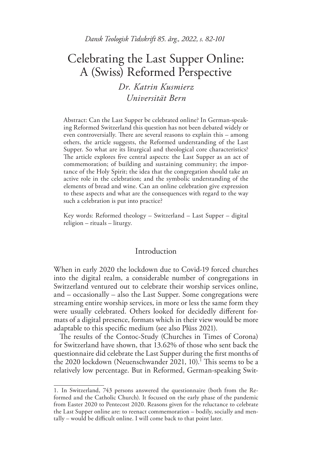*Dansk Teologisk Tidsskrift 85. årg., 2022, s. 82-101*

# Celebrating the Last Supper Online: A (Swiss) Reformed Perspective

*Dr. Katrin Kusmierz Universität Bern*

Abstract: Can the Last Supper be celebrated online? In German-speaking Reformed Switzerland this question has not been debated widely or even controversially. There are several reasons to explain this – among others, the article suggests, the Reformed understanding of the Last Supper. So what are its liturgical and theological core characteristics? The article explores five central aspects: the Last Supper as an act of commemoration; of building and sustaining community; the importance of the Holy Spirit; the idea that the congregation should take an active role in the celebration; and the symbolic understanding of the elements of bread and wine. Can an online celebration give expression to these aspects and what are the consequences with regard to the way such a celebration is put into practice?

Key words: Reformed theology – Switzerland – Last Supper – digital religion – rituals – liturgy.

### Introduction

When in early 2020 the lockdown due to Covid-19 forced churches into the digital realm, a considerable number of congregations in Switzerland ventured out to celebrate their worship services online, and – occasionally – also the Last Supper. Some congregations were streaming entire worship services, in more or less the same form they were usually celebrated. Others looked for decidedly different formats of a digital presence, formats which in their view would be more adaptable to this specific medium (see also Plüss 2021).

The results of the Contoc-Study (Churches in Times of Corona) for Switzerland have shown, that 13.62% of those who sent back the questionnaire did celebrate the Last Supper during the first months of the 2020 lockdown (Neuenschwander 2021, 10).<sup>1</sup> This seems to be a relatively low percentage. But in Reformed, German-speaking Swit-

<sup>1.</sup> In Switzerland, 743 persons answered the questionnaire (both from the Reformed and the Catholic Church). It focused on the early phase of the pandemic from Easter 2020 to Pentecost 2020. Reasons given for the reluctance to celebrate the Last Supper online are: to reenact commemoration – bodily, socially and mentally – would be difficult online. I will come back to that point later.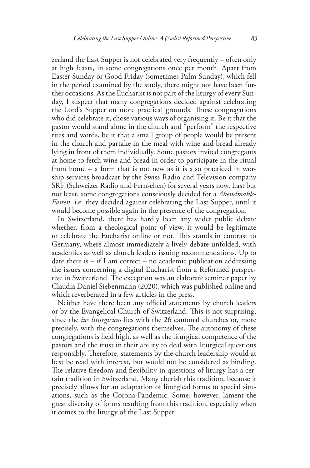zerland the Last Supper is not celebrated very frequently – often only at high feasts, in some congregations once per month. Apart from Easter Sunday or Good Friday (sometimes Palm Sunday), which fell in the period examined by the study, there might not have been further occasions. As the Eucharist is not part of the liturgy of every Sunday, I suspect that many congregations decided against celebrating the Lord's Supper on more practical grounds. Those congregations who did celebrate it, chose various ways of organising it. Be it that the pastor would stand alone in the church and "perform" the respective rites and words, be it that a small group of people would be present in the church and partake in the meal with wine and bread already lying in front of them individually. Some pastors invited congregants at home to fetch wine and bread in order to participate in the ritual from home – a form that is not new as it is also practiced in worship services broadcast by the Swiss Radio and Television company SRF (Schweizer Radio und Fernsehen) for several years now. Last but not least, some congregations consciously decided for a *Abendmahls-Fasten,* i.e. they decided against celebrating the Last Supper, until it would become possible again in the presence of the congregation.

In Switzerland, there has hardly been any wider public debate whether, from a theological point of view, it would be legitimate to celebrate the Eucharist online or not. This stands in contrast to Germany, where almost immediately a lively debate unfolded, with academics as well as church leaders issuing recommendations. Up to date there is – if I am correct – no academic publication addressing the issues concerning a digital Eucharist from a Reformed perspective in Switzerland. The exception was an elaborate seminar paper by Claudia Daniel Siebenmann (2020), which was published online and which reverberated in a few articles in the press.

Neither have there been any official statements by church leaders or by the Evangelical Church of Switzerland. This is not surprising, since the *ius liturgicum* lies with the 26 cantonal churches or, more precisely, with the congregations themselves. The autonomy of these congregations is held high, as well as the liturgical competence of the pastors and the trust in their ability to deal with liturgical questions responsibly. Therefore, statements by the church leadership would at best be read with interest, but would not be considered as binding. The relative freedom and flexibility in questions of liturgy has a certain tradition in Switzerland. Many cherish this tradition, because it precisely allows for an adaptation of liturgical forms to special situations, such as the Corona-Pandemic. Some, however, lament the great diversity of forms resulting from this tradition, especially when it comes to the liturgy of the Last Supper.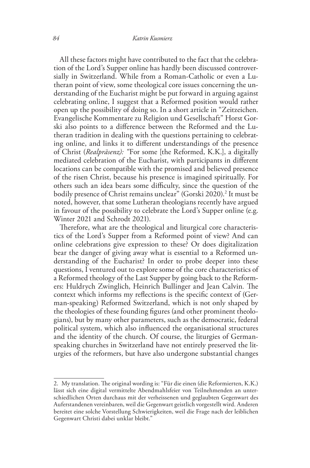All these factors might have contributed to the fact that the celebration of the Lord's Supper online has hardly been discussed controversially in Switzerland. While from a Roman-Catholic or even a Lutheran point of view, some theological core issues concerning the understanding of the Eucharist might be put forward in arguing against celebrating online, I suggest that a Reformed position would rather open up the possibility of doing so. In a short article in "Zeitzeichen. Evangelische Kommentare zu Religion und Gesellschaft" Horst Gorski also points to a difference between the Reformed and the Lutheran tradition in dealing with the questions pertaining to celebrating online, and links it to different understandings of the presence of Christ (*Realpräsenz): "*For some [the Reformed, K.K.], a digitally mediated celebration of the Eucharist, with participants in different locations can be compatible with the promised and believed presence of the risen Christ, because his presence is imagined spiritually. For others such an idea bears some difficulty, since the question of the bodily presence of Christ remains unclear" (Gorski 2020).<sup>2</sup> It must be noted, however, that some Lutheran theologians recently have argued in favour of the possibility to celebrate the Lord's Supper online (e.g. Winter 2021 and Schrodt 2021).

Therefore, what are the theological and liturgical core characteristics of the Lord's Supper from a Reformed point of view? And can online celebrations give expression to these? Or does digitalization bear the danger of giving away what is essential to a Reformed understanding of the Eucharist? In order to probe deeper into these questions, I ventured out to explore some of the core characteristics of a Reformed theology of the Last Supper by going back to the Reformers: Huldrych Zwinglich, Heinrich Bullinger and Jean Calvin*.* The context which informs my reflections is the specific context of (German-speaking) Reformed Switzerland, which is not only shaped by the theologies of these founding figures (and other prominent theologians), but by many other parameters, such as the democratic, federal political system, which also influenced the organisational structures and the identity of the church. Of course, the liturgies of Germanspeaking churches in Switzerland have not entirely preserved the liturgies of the reformers, but have also undergone substantial changes

<sup>2.</sup> My translation. The original wording is: "Für die einen (die Reformierten, K.K.) lässt sich eine digital vermittelte Abendmahlsfeier von Teilnehmenden an unterschiedlichen Orten durchaus mit der verheissenen und geglaubten Gegenwart des Auferstandenen vereinbaren, weil die Gegenwart geistlich vorgestellt wird. Anderen bereitet eine solche Vorstellung Schwierigkeiten, weil die Frage nach der leiblichen Gegenwart Christi dabei unklar bleibt."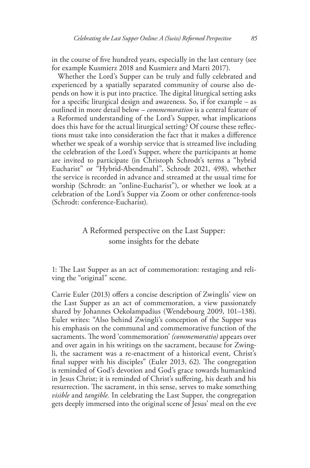in the course of five hundred years, especially in the last century (see for example Kusmierz 2018 and Kusmierz and Marti 2017).

Whether the Lord's Supper can be truly and fully celebrated and experienced by a spatially separated community of course also depends on how it is put into practice. The digital liturgical setting asks for a specific liturgical design and awareness. So, if for example – as outlined in more detail below – *commemoration* is a central feature of a Reformed understanding of the Lord's Supper, what implications does this have for the actual liturgical setting? Of course these reflections must take into consideration the fact that it makes a difference whether we speak of a worship service that is streamed live including the celebration of the Lord's Supper, where the participants at home are invited to participate (in Christoph Schrodt's terms a "hybrid Eucharist" or "Hybrid-Abendmahl", Schrodt 2021, 498), whether the service is recorded in advance and streamed at the usual time for worship (Schrodt: an "online-Eucharist"), or whether we look at a celebration of the Lord's Supper via Zoom or other conference-tools (Schrodt: conference-Eucharist).

## A Reformed perspective on the Last Supper: some insights for the debate

1: The Last Supper as an act of commemoration: restaging and reliving the "original" scene.

Carrie Euler (2013) offers a concise description of Zwinglis' view on the Last Supper as an act of commemoration, a view passionately shared by Johannes Oekolampadius (Wendebourg 2009, 101–138). Euler writes: "Also behind Zwingli's conception of the Supper was his emphasis on the communal and commemorative function of the sacraments. The word 'commemoration' *(commemoratio)* appears over and over again in his writings on the sacrament, because for Zwingli, the sacrament was a re-enactment of a historical event, Christ's final supper with his disciples" (Euler 2013, 62). The congregation is reminded of God's devotion and God's grace towards humankind in Jesus Christ; it is reminded of Christ's suffering, his death and his resurrection. The sacrament, in this sense, serves to make something *visible* and *tangible.* In celebrating the Last Supper, the congregation gets deeply immersed into the original scene of Jesus' meal on the eve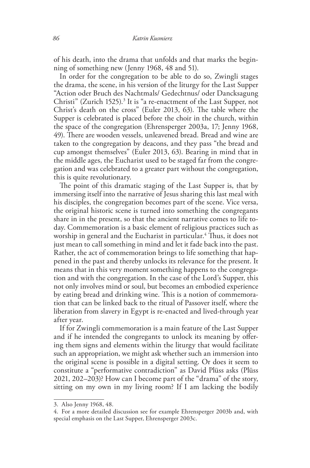of his death, into the drama that unfolds and that marks the beginning of something new (Jenny 1968, 48 and 51).

In order for the congregation to be able to do so, Zwingli stages the drama, the scene, in his version of the liturgy for the Last Supper "Action oder Bruch des Nachtmals/ Gedechtnus/ oder Dancksagung Christi" (Zurich 1525).<sup>3</sup> It is "a re-enactment of the Last Supper, not Christ's death on the cross" (Euler 2013, 63). The table where the Supper is celebrated is placed before the choir in the church, within the space of the congregation (Ehrensperger 2003a, 17; Jenny 1968, 49). There are wooden vessels, unleavened bread. Bread and wine are taken to the congregation by deacons, and they pass "the bread and cup amongst themselves" (Euler 2013, 63). Bearing in mind that in the middle ages, the Eucharist used to be staged far from the congregation and was celebrated to a greater part without the congregation, this is quite revolutionary.

The point of this dramatic staging of the Last Supper is, that by immersing itself into the narrative of Jesus sharing this last meal with his disciples, the congregation becomes part of the scene. Vice versa, the original historic scene is turned into something the congregants share in in the present, so that the ancient narrative comes to life today. Commemoration is a basic element of religious practices such as worship in general and the Eucharist in particular.<sup>4</sup> Thus, it does not just mean to call something in mind and let it fade back into the past. Rather, the act of commemoration brings to life something that happened in the past and thereby unlocks its relevance for the present. It means that in this very moment something happens to the congregation and with the congregation. In the case of the Lord's Supper, this not only involves mind or soul, but becomes an embodied experience by eating bread and drinking wine. This is a notion of commemoration that can be linked back to the ritual of Passover itself, where the liberation from slavery in Egypt is re-enacted and lived-through year after year.

If for Zwingli commemoration is a main feature of the Last Supper and if he intended the congregants to unlock its meaning by offering them signs and elements within the liturgy that would facilitate such an appropriation, we might ask whether such an immersion into the original scene is possible in a digital setting. Or does it seem to constitute a "performative contradiction" as David Plüss asks (Plüss 2021, 202–203)? How can I become part of the "drama" of the story, sitting on my own in my living room? If I am lacking the bodily

<sup>3.</sup> Also Jenny 1968, 48.

<sup>4.</sup> For a more detailed discussion see for example Ehrensperger 2003b and, with special emphasis on the Last Supper, Ehrensperger 2003c.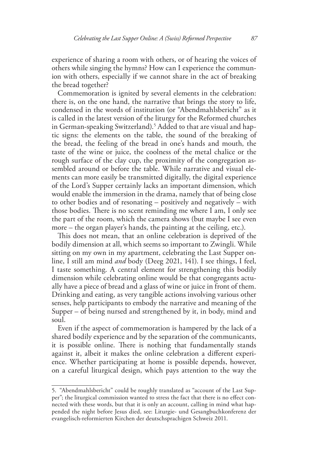experience of sharing a room with others, or of hearing the voices of others while singing the hymns? How can I experience the communion with others, especially if we cannot share in the act of breaking the bread together?

Commemoration is ignited by several elements in the celebration: there is, on the one hand, the narrative that brings the story to life, condensed in the words of institution (or "Abendmahlsbericht" as it is called in the latest version of the liturgy for the Reformed churches in German-speaking Switzerland).5 Added to that are visual and haptic signs: the elements on the table, the sound of the breaking of the bread, the feeling of the bread in one's hands and mouth, the taste of the wine or juice, the coolness of the metal chalice or the rough surface of the clay cup, the proximity of the congregation assembled around or before the table. While narrative and visual elements can more easily be transmitted digitally, the digital experience of the Lord's Supper certainly lacks an important dimension, which would enable the immersion in the drama, namely that of being close to other bodies and of resonating – positively and negatively – with those bodies. There is no scent reminding me where I am, I only see the part of the room, which the camera shows (but maybe I see even more – the organ player's hands, the painting at the ceiling, etc.).

This does not mean, that an online celebration is deprived of the bodily dimension at all, which seems so important to Zwingli. While sitting on my own in my apartment, celebrating the Last Supper online, I still am mind *and* body (Deeg 2021, 141). I see things, I feel, I taste something. A central element for strengthening this bodily dimension while celebrating online would be that congregants actually have a piece of bread and a glass of wine or juice in front of them. Drinking and eating, as very tangible actions involving various other senses, help participants to embody the narrative and meaning of the Supper – of being nursed and strengthened by it, in body, mind and soul.

Even if the aspect of commemoration is hampered by the lack of a shared bodily experience and by the separation of the communicants, it is possible online. There is nothing that fundamentally stands against it, albeit it makes the online celebration a different experience. Whether participating at home is possible depends, however, on a careful liturgical design, which pays attention to the way the

<sup>5.</sup> "Abendmahlsbericht" could be roughly translated as "account of the Last Supper"; the liturgical commission wanted to stress the fact that there is no effect connected with these words, but that it is only an account, calling in mind what happended the night before Jesus died, see: Liturgie- und Gesangbuchkonferenz der evangelisch-reformierten Kirchen der deutschsprachigen Schweiz 2011.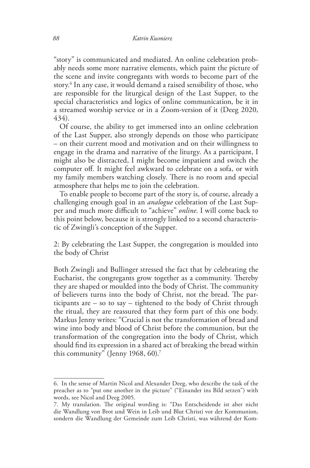"story" is communicated and mediated. An online celebration probably needs some more narrative elements, which paint the picture of the scene and invite congregants with words to become part of the story.6 In any case, it would demand a raised sensibility of those, who are responsible for the liturgical design of the Last Supper, to the special characteristics and logics of online communication, be it in a streamed worship service or in a Zoom-version of it (Deeg 2020, 434).

Of course, the ability to get immersed into an online celebration of the Last Supper, also strongly depends on those who participate – on their current mood and motivation and on their willingness to engage in the drama and narrative of the liturgy. As a participant, I might also be distracted, I might become impatient and switch the computer off. It might feel awkward to celebrate on a sofa, or with my family members watching closely. There is no room and special atmosphere that helps me to join the celebration.

To enable people to become part of the story is, of course, already a challenging enough goal in an *analogue* celebration of the Last Supper and much more difficult to "achieve" *online*. I will come back to this point below, because it is strongly linked to a second characteristic of Zwingli's conception of the Supper.

2: By celebrating the Last Supper, the congregation is moulded into the body of Christ

Both Zwingli and Bullinger stressed the fact that by celebrating the Eucharist, the congregants grow together as a community. Thereby they are shaped or moulded into the body of Christ. The community of believers turns into the body of Christ, not the bread. The participants are – so to say – tightened to the body of Christ through the ritual, they are reassured that they form part of this one body. Markus Jenny writes: "Crucial is not the transformation of bread and wine into body and blood of Christ before the communion, but the transformation of the congregation into the body of Christ, which should find its expression in a shared act of breaking the bread within this community" (Jenny 1968, 60).7

<sup>6.</sup> In the sense of Martin Nicol and Alexander Deeg, who describe the task of the preacher as to "put one another in the picture" ("Einander ins Bild setzen") with words, see Nicol and Deeg 2005.

<sup>7.</sup> My translation. The original wording is: "Das Entscheidende ist aber nicht die Wandlung von Brot und Wein in Leib und Blut Christi vor der Kommunion, sondern die Wandlung der Gemeinde zum Leib Christi, was während der Kom-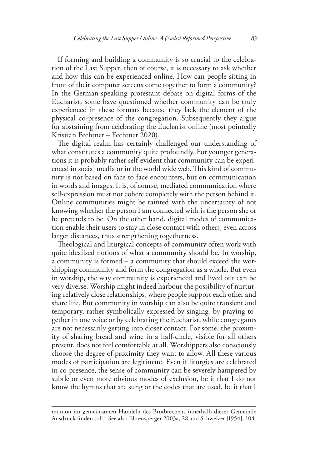If forming and building a community is so crucial to the celebration of the Last Supper, then of course, it is necessary to ask whether and how this can be experienced online. How can people sitting in front of their computer screens come together to form a community? In the German-speaking protestant debate on digital forms of the Eucharist, some have questioned whether community can be truly experienced in these formats because they lack the element of the physical co-presence of the congregation. Subsequently they argue for abstaining from celebrating the Eucharist online (most pointedly Kristian Fechtner – Fechtner 2020).

The digital realm has certainly challenged our understanding of what constitutes a community quite profoundly. For younger generations it is probably rather self-evident that community can be experienced in social media or in the world wide web. This kind of community is not based on face to face encounters, but on communication in words and images. It is, of course, mediated communication where self-expression must not cohere completely with the person behind it. Online communities might be tainted with the uncertainty of not knowing whether the person I am connected with is the person she or he pretends to be. On the other hand, digital modes of communication enable their users to stay in close contact with others, even across larger distances, thus strengthening togetherness.

Theological and liturgical concepts of community often work with quite idealised notions of what a community should be. In worship, a community is formed – a community that should exceed the worshipping community and form the congregation as a whole. But even in worship, the way community is experienced and lived out can be very diverse. Worship might indeed harbour the possibility of nurturing relatively close relationships, where people support each other and share life. But community in worship can also be quite transient and temporary, rather symbolically expressed by singing, by praying together in one voice or by celebrating the Eucharist, while congregants are not necessarily getting into closer contact. For some, the proximity of sharing bread and wine in a half-circle, visible for all others present, does not feel comfortable at all. Worshippers also consciously choose the degree of proximity they want to allow. All these various modes of participation are legitimate. Even if liturgies are celebrated in co-presence, the sense of community can be severely hampered by subtle or even more obvious modes of exclusion, be it that I do not know the hymns that are sung or the codes that are used, be it that I

munion im gemeinsamen Handeln des Brotbrechens innerhalb dieser Gemeinde Ausdruck finden soll." See also Ehrensperger 2003a, 28 and Schweizer [1954], 104.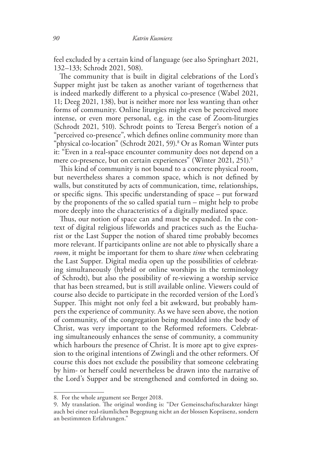feel excluded by a certain kind of language (see also Springhart 2021, 132–133; Schrodt 2021, 508).

The community that is built in digital celebrations of the Lord's Supper might just be taken as another variant of togetherness that is indeed markedly different to a physical co-presence (Wabel 2021, 11; Deeg 2021, 138), but is neither more nor less wanting than other forms of community. Online liturgies might even be perceived more intense, or even more personal, e.g. in the case of Zoom-liturgies (Schrodt 2021, 510). Schrodt points to Teresa Berger's notion of a "perceived co-presence", which defines online community more than "physical co-location" (Schrodt 2021, 59).<sup>8</sup> Or as Roman Winter puts it: "Even in a real-space encounter community does not depend on a mere co-presence, but on certain experiences" (Winter 2021, 251).<sup>9</sup>

This kind of community is not bound to a concrete physical room, but nevertheless shares a common space, which is not defined by walls, but constituted by acts of communication, time, relationships, or specific signs. This specific understanding of space – put forward by the proponents of the so called spatial turn – might help to probe more deeply into the characteristics of a digitally mediated space.

Thus, our notion of space can and must be expanded. In the context of digital religious lifeworlds and practices such as the Eucharist or the Last Supper the notion of shared time probably becomes more relevant. If participants online are not able to physically share a *room*, it might be important for them to share *time* when celebrating the Last Supper. Digital media open up the possibilities of celebrating simultaneously (hybrid or online worships in the terminology of Schrodt), but also the possibility of re-viewing a worship service that has been streamed, but is still available online. Viewers could of course also decide to participate in the recorded version of the Lord's Supper. This might not only feel a bit awkward, but probably hampers the experience of community. As we have seen above, the notion of community, of the congregation being moulded into the body of Christ, was very important to the Reformed reformers. Celebrating simultaneously enhances the sense of community, a community which harbours the presence of Christ. It is more apt to give expression to the original intentions of Zwingli and the other reformers. Of course this does not exclude the possibility that someone celebrating by him- or herself could nevertheless be drawn into the narrative of the Lord's Supper and be strengthened and comforted in doing so.

<sup>8.</sup> For the whole argument see Berger 2018.

<sup>9.</sup> My translation. The original wording is: "Der Gemeinschaftscharakter hängt auch bei einer real-räumlichen Begegnung nicht an der blossen Kopräsenz, sondern an bestimmten Erfahrungen."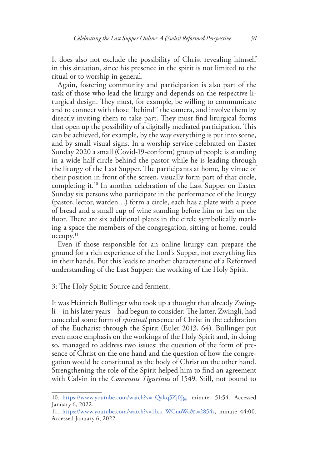It does also not exclude the possibility of Christ revealing himself in this situation, since his presence in the spirit is not limited to the ritual or to worship in general.

Again, fostering community and participation is also part of the task of those who lead the liturgy and depends on the respective liturgical design. They must, for example, be willing to communicate and to connect with those "behind" the camera, and involve them by directly inviting them to take part. They must find liturgical forms that open up the possibility of a digitally mediated participation. This can be achieved, for example, by the way everything is put into scene, and by small visual signs. In a worship service celebrated on Easter Sunday 2020 a small (Covid-19-conform) group of people is standing in a wide half-circle behind the pastor while he is leading through the liturgy of the Last Supper. The participants at home, by virtue of their position in front of the screen, visually form part of that circle, completing it.10 In another celebration of the Last Supper on Easter Sunday six persons who participate in the performance of the liturgy (pastor, lector, warden…) form a circle, each has a plate with a piece of bread and a small cup of wine standing before him or her on the floor. There are six additional plates in the circle symbolically marking a space the members of the congregation, sitting at home, could  $occupy.<sup>11</sup>$ 

Even if those responsible for an online liturgy can prepare the ground for a rich experience of the Lord's Supper, not everything lies in their hands. But this leads to another characteristic of a Reformed understanding of the Last Supper: the working of the Holy Spirit.

3: The Holy Spirit: Source and ferment.

It was Heinrich Bullinger who took up a thought that already Zwingli – in his later years – had begun to consider: The latter, Zwingli, had conceded some form of *spiritual* presence of Christ in the celebration of the Eucharist through the Spirit (Euler 2013, 64). Bullinger put even more emphasis on the workings of the Holy Spirit and, in doing so, managed to address two issues: the question of the form of presence of Christ on the one hand and the question of how the congregation would be constituted as the body of Christ on the other hand. Strengthening the role of the Spirit helped him to find an agreement with Calvin in the *Consensus Tigurinus* of 1549. Still, not bound to

<sup>10.</sup> https://www.youtube.com/watch?v=\_Qakq5Zj0Jg, minute: 51:54. Accessed January 6, 2022.

<sup>11.</sup> https://www.youtube.com/watch?v=1lxk\_WCnoWc&t=2854s, minute 44:00. Accessed January 6, 2022.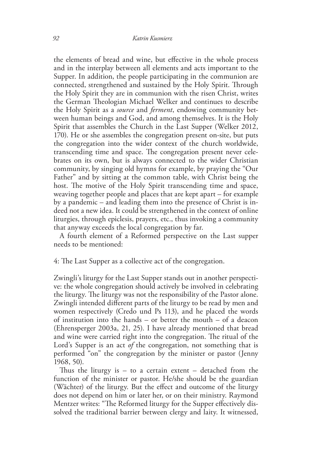the elements of bread and wine, but effective in the whole process and in the interplay between all elements and acts important to the Supper. In addition, the people participating in the communion are connected, strengthened and sustained by the Holy Spirit. Through the Holy Spirit they are in communion with the risen Christ, writes the German Theologian Michael Welker and continues to describe the Holy Spirit as a *source* and *ferment*, endowing community between human beings and God, and among themselves. It is the Holy Spirit that assembles the Church in the Last Supper (Welker 2012, 170). He or she assembles the congregation present on-site, but puts the congregation into the wider context of the church worldwide, transcending time and space. The congregation present never celebrates on its own, but is always connected to the wider Christian community, by singing old hymns for example, by praying the "Our Father" and by sitting at the common table, with Christ being the host. The motive of the Holy Spirit transcending time and space, weaving together people and places that are kept apart – for example by a pandemic – and leading them into the presence of Christ is indeed not a new idea. It could be strengthened in the context of online liturgies, through epiclesis, prayers, etc., thus invoking a community that anyway exceeds the local congregation by far.

A fourth element of a Reformed perspective on the Last supper needs to be mentioned:

4: The Last Supper as a collective act of the congregation.

Zwingli's liturgy for the Last Supper stands out in another perspective: the whole congregation should actively be involved in celebrating the liturgy. The liturgy was not the responsibility of the Pastor alone. Zwingli intended different parts of the liturgy to be read by men and women respectively (Credo und Ps 113), and he placed the words of institution into the hands – or better the mouth – of a deacon (Ehrensperger 2003a, 21, 25). I have already mentioned that bread and wine were carried right into the congregation. The ritual of the Lord's Supper is an act *of* the congregation, not something that is performed "on" the congregation by the minister or pastor (Jenny 1968, 50).

Thus the liturgy is  $-$  to a certain extent  $-$  detached from the function of the minister or pastor. He/she should be the guardian (Wächter) of the liturgy. But the effect and outcome of the liturgy does not depend on him or later her, or on their ministry. Raymond Mentzer writes: "The Reformed liturgy for the Supper effectively dissolved the traditional barrier between clergy and laity. It witnessed,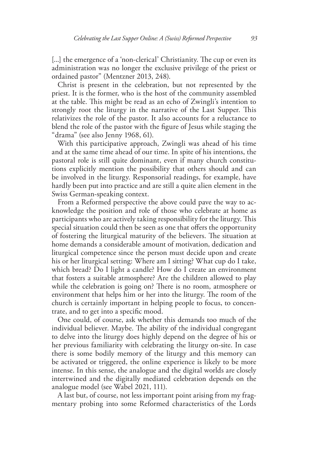[...] the emergence of a 'non-clerical' Christianity. The cup or even its administration was no longer the exclusive privilege of the priest or ordained pastor" (Mentzner 2013, 248).

Christ is present in the celebration, but not represented by the priest. It is the former, who is the host of the community assembled at the table. This might be read as an echo of Zwingli's intention to strongly root the liturgy in the narrative of the Last Supper. This relativizes the role of the pastor. It also accounts for a reluctance to blend the role of the pastor with the figure of Jesus while staging the "drama" (see also Jenny 1968, 61).

With this participative approach, Zwingli was ahead of his time and at the same time ahead of our time. In spite of his intentions, the pastoral role is still quite dominant, even if many church constitutions explicitly mention the possibility that others should and can be involved in the liturgy. Responsorial readings, for example, have hardly been put into practice and are still a quite alien element in the Swiss German-speaking context.

From a Reformed perspective the above could pave the way to acknowledge the position and role of those who celebrate at home as participants who are actively taking responsibility for the liturgy. This special situation could then be seen as one that offers the opportunity of fostering the liturgical maturity of the believers. The situation at home demands a considerable amount of motivation, dedication and liturgical competence since the person must decide upon and create his or her liturgical setting: Where am I sitting? What cup do I take, which bread? Do I light a candle? How do I create an environment that fosters a suitable atmosphere? Are the children allowed to play while the celebration is going on? There is no room, atmosphere or environment that helps him or her into the liturgy. The room of the church is certainly important in helping people to focus, to concentrate, and to get into a specific mood.

One could, of course, ask whether this demands too much of the individual believer. Maybe. The ability of the individual congregant to delve into the liturgy does highly depend on the degree of his or her previous familiarity with celebrating the liturgy on-site. In case there is some bodily memory of the liturgy and this memory can be activated or triggered, the online experience is likely to be more intense. In this sense, the analogue and the digital worlds are closely intertwined and the digitally mediated celebration depends on the analogue model (see Wabel 2021, 111).

A last but, of course, not less important point arising from my fragmentary probing into some Reformed characteristics of the Lords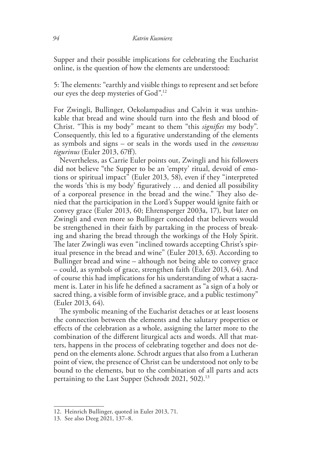Supper and their possible implications for celebrating the Eucharist online, is the question of how the elements are understood:

5: The elements: "earthly and visible things to represent and set before our eyes the deep mysteries of God".12

For Zwingli, Bullinger, Oekolampadius and Calvin it was unthinkable that bread and wine should turn into the flesh and blood of Christ. "This is my body" meant to them "this *signifies* my body". Consequently, this led to a figurative understanding of the elements as symbols and signs – or seals in the words used in the *consensus tigurinus* (Euler 2013, 67ff).

Nevertheless, as Carrie Euler points out, Zwingli and his followers did not believe "the Supper to be an 'empty' ritual, devoid of emotions or spiritual impact" (Euler 2013, 58), even if they "interpreted the words 'this is my body' figuratively … and denied all possibility of a corporeal presence in the bread and the wine." They also denied that the participation in the Lord's Supper would ignite faith or convey grace (Euler 2013, 60; Ehrensperger 2003a, 17), but later on Zwingli and even more so Bullinger conceded that believers would be strengthened in their faith by partaking in the process of breaking and sharing the bread through the workings of the Holy Spirit. The later Zwingli was even "inclined towards accepting Christ's spiritual presence in the bread and wine" (Euler 2013, 63). According to Bullinger bread and wine – although not being able to convey grace – could, as symbols of grace, strengthen faith (Euler 2013, 64). And of course this had implications for his understanding of what a sacrament is. Later in his life he defined a sacrament as "a sign of a holy or sacred thing, a visible form of invisible grace, and a public testimony" (Euler 2013, 64).

The symbolic meaning of the Eucharist detaches or at least loosens the connection between the elements and the salutary properties or effects of the celebration as a whole, assigning the latter more to the combination of the different liturgical acts and words. All that matters, happens in the process of celebrating together and does not depend on the elements alone. Schrodt argues that also from a Lutheran point of view, the presence of Christ can be understood not only to be bound to the elements, but to the combination of all parts and acts pertaining to the Last Supper (Schrodt 2021, 502).<sup>13</sup>

<sup>12.</sup> Heinrich Bullinger, quoted in Euler 2013, 71.

<sup>13.</sup> See also Deeg 2021, 137–8.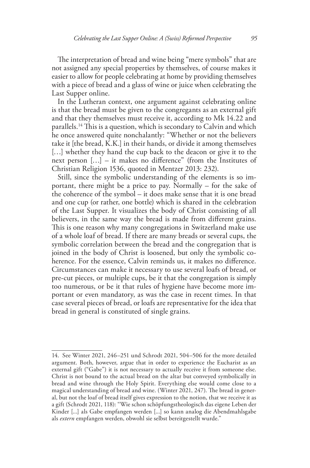The interpretation of bread and wine being "mere symbols" that are not assigned any special properties by themselves, of course makes it easier to allow for people celebrating at home by providing themselves with a piece of bread and a glass of wine or juice when celebrating the Last Supper online.

In the Lutheran context, one argument against celebrating online is that the bread must be given to the congregants as an external gift and that they themselves must receive it, according to Mk 14.22 and parallels.14 This is a question, which is secondary to Calvin and which he once answered quite nonchalantly: "Whether or not the believers take it [the bread, K.K.] in their hands, or divide it among themselves [...] whether they hand the cup back to the deacon or give it to the next person […] – it makes no difference" (from the Institutes of Christian Religion 1536, quoted in Mentzer 2013: 232).

Still, since the symbolic understanding of the elements is so important, there might be a price to pay. Normally – for the sake of the coherence of the symbol – it does make sense that it is one bread and one cup (or rather, one bottle) which is shared in the celebration of the Last Supper. It visualizes the body of Christ consisting of all believers, in the same way the bread is made from different grains. This is one reason why many congregations in Switzerland make use of a whole loaf of bread. If there are many breads or several cups, the symbolic correlation between the bread and the congregation that is joined in the body of Christ is loosened, but only the symbolic coherence. For the essence, Calvin reminds us, it makes no difference. Circumstances can make it necessary to use several loafs of bread, or pre-cut pieces, or multiple cups, be it that the congregation is simply too numerous, or be it that rules of hygiene have become more important or even mandatory, as was the case in recent times. In that case several pieces of bread, or loafs are representative for the idea that bread in general is constituted of single grains.

<sup>14.</sup> See Winter 2021, 246–251 und Schrodt 2021, 504–506 for the more detailed argument. Both, however, argue that in order to experience the Eucharist as an external gift ("Gabe") it is not necessary to actually receive it from someone else. Christ is not bound to the actual bread on the altar but conveyed symbolically in bread and wine through the Holy Spirit. Everything else would come close to a magical understanding of bread and wine. (Winter 2021, 247). The bread in general, but not the loaf of bread itself gives expression to the notion, that we receive it as a gift (Schrodt 2021, 118): "Wie schon schöpfungstheologisch das eigene Leben der Kinder [...] als Gabe empfangen werden [...] so kann analog die Abendmahlsgabe als *extern* empfangen werden, obwohl sie selbst bereitgestellt wurde."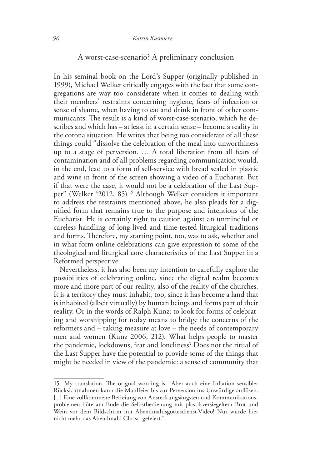#### A worst-case-scenario? A preliminary conclusion

In his seminal book on the Lord's Supper (originally published in 1999), Michael Welker critically engages with the fact that some congregations are way too considerate when it comes to dealing with their members' restraints concerning hygiene, fears of infection or sense of shame, when having to eat and drink in front of other communicants. The result is a kind of worst-case-scenario, which he describes and which has – at least in a certain sense – become a reality in the corona situation. He writes that being too considerate of all these things could "dissolve the celebration of the meal into unworthiness up to a stage of perversion. … A total liberation from all fears of contamination and of all problems regarding communication would, in the end, lead to a form of self-service with bread sealed in plastic and wine in front of the screen showing a video of a Eucharist. But if that were the case, it would not be a celebration of the Last Supper" (Welker <sup>4</sup>2012, 85).<sup>15</sup> Although Welker considers it important to address the restraints mentioned above, he also pleads for a dignified form that remains true to the purpose and intentions of the Eucharist. He is certainly right to caution against an unmindful or careless handling of long-lived and time-tested liturgical traditions and forms. Therefore, my starting point, too, was to ask, whether and in what form online celebrations can give expression to some of the theological and liturgical core characteristics of the Last Supper in a Reformed perspective.

Nevertheless, it has also been my intention to carefully explore the possibilities of celebrating online, since the digital realm becomes more and more part of our reality, also of the reality of the churches. It is a territory they must inhabit, too, since it has become a land that is inhabited (albeit virtually) by human beings and forms part of their reality. Or in the words of Ralph Kunz: to look for forms of celebrating and worshipping for today means to bridge the concerns of the reformers and – taking measure at love – the needs of contemporary men and women (Kunz 2006, 212). What helps people to master the pandemic, lockdowns, fear and loneliness? Does not the ritual of the Last Supper have the potential to provide some of the things that might be needed in view of the pandemic: a sense of community that

<sup>15.</sup> My translation. The orignal wording is: "Aber auch eine Inflation sensibler Rücksichtnahmen kann die Mahlfeier bis zur Perversion ins Unwürdige auflösen. [...] Eine vollkommene Befreiung von Ansteckungsängsten und Kommunikationsproblemen böte am Ende die Selbstbedienung mit plastikversiegeltem Brot und Wein vor dem Bildschirm mit Abendmahlsgottesdienst-Video! Nur würde hier nicht mehr das Abendmahl Christi gefeiert."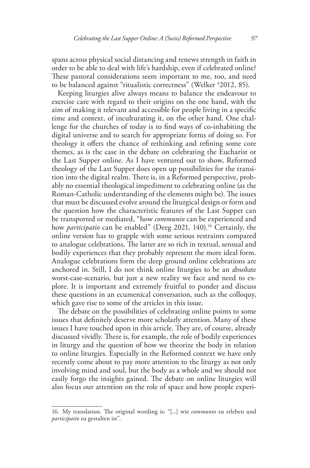spans across physical social distancing and renews strength in faith in order to be able to deal with life's hardship, even if celebrated online? These pastoral considerations seem important to me, too, and need to be balanced against "ritualistic correctness" (Welker <sup>4</sup>2012, 85).

Keeping liturgies alive always means to balance the endeavour to exercise care with regard to their origins on the one hand, with the aim of making it relevant and accessible for people living in a specific time and context, of inculturating it, on the other hand. One challenge for the churches of today is to find ways of co-inhabiting the digital universe and to search for appropriate forms of doing so. For theology it offers the chance of rethinking and refining some core themes, as is the case in the debate on celebrating the Eucharist or the Last Supper online. As I have ventured out to show, Reformed theology of the Last Supper does open up possibilities for the transition into the digital realm. There is, in a Reformed perspective, probably no essential theological impediment to celebrating online (as the Roman-Catholic understanding of the elements might be). The issues that must be discussed evolve around the liturgical design or form and the question how the characteristic features of the Last Supper can be transported or mediated, "how *communio* can be experienced and how *participatio* can be enabled" (Deeg 2021, 140).<sup>16</sup> Certainly, the online version has to grapple with some serious restraints compared to analogue celebrations. The latter are so rich in textual, sensual and bodily experiences that they probably represent the more ideal form. Analogue celebrations form the deep ground online celebrations are anchored in. Still, I do not think online liturgies to be an absolute worst-case-scenario, but just a new reality we face and need to explore. It is important and extremely fruitful to ponder and discuss these questions in an ecumenical conversation, such as the colloquy, which gave rise to some of the articles in this issue.

The debate on the possibilities of celebrating online points to some issues that definitely deserve more scholarly attention. Many of these issues I have touched upon in this article. They are, of course, already discussed vividly. There is, for example, the role of bodily experiences in liturgy and the question of how we theorize the body in relation to online liturgies. Especially in the Reformed context we have only recently come about to pay more attention to the liturgy as not only involving mind and soul, but the body as a whole and we should not easily forgo the insights gained. The debate on online liturgies will also focus our attention on the role of space and how people experi-

<sup>16.</sup> My translation. The original wording is: "[...] wie *communio* zu erleben und *participatio* zu gestalten ist".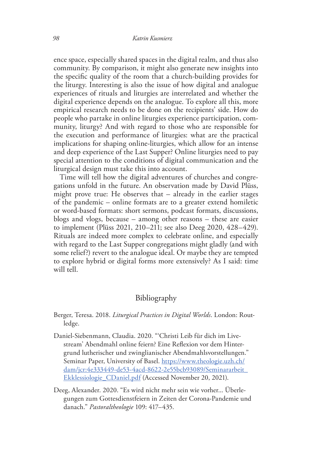ence space, especially shared spaces in the digital realm, and thus also community. By comparison, it might also generate new insights into the specific quality of the room that a church-building provides for the liturgy. Interesting is also the issue of how digital and analogue experiences of rituals and liturgies are interrelated and whether the digital experience depends on the analogue. To explore all this, more empirical research needs to be done on the recipients' side. How do people who partake in online liturgies experience participation, community, liturgy? And with regard to those who are responsible for the execution and performance of liturgies: what are the practical implications for shaping online-liturgies, which allow for an intense and deep experience of the Last Supper? Online liturgies need to pay special attention to the conditions of digital communication and the liturgical design must take this into account.

Time will tell how the digital adventures of churches and congregations unfold in the future. An observation made by David Plüss, might prove true: He observes that – already in the earlier stages of the pandemic – online formats are to a greater extend homiletic or word-based formats: short sermons, podcast formats, discussions, blogs and vlogs, because – among other reasons – these are easier to implement (Plüss 2021, 210–211; see also Deeg 2020, 428–429). Rituals are indeed more complex to celebrate online, and especially with regard to the Last Supper congregations might gladly (and with some relief?) revert to the analogue ideal. Or maybe they are tempted to explore hybrid or digital forms more extensively? As I said: time will tell.

## Bibliography

- Berger, Teresa. 2018. *Liturgical Practices in Digital Worlds*. London: Routledge.
- Daniel-Siebenmann, Claudia. 2020. "'Christi Leib für dich im Livestream' Abendmahl online feiern? Eine Reflexion vor dem Hintergrund lutherischer und zwinglianischer Abendmahlsvorstellungen." Seminar Paper, University of Basel. https://www.theologie.uzh.ch/ dam/jcr:4e333449-de53-4acd-8622-2e55bcb93089/Seminararbeit\_ Ekklessiologie\_CDaniel.pdf (Accessed November 20, 2021).
- Deeg, Alexander. 2020. "Es wird nicht mehr sein wie vorher... Überlegungen zum Gottesdienstfeiern in Zeiten der Corona-Pandemie und danach." *Pastoraltheologie* 109: 417–435.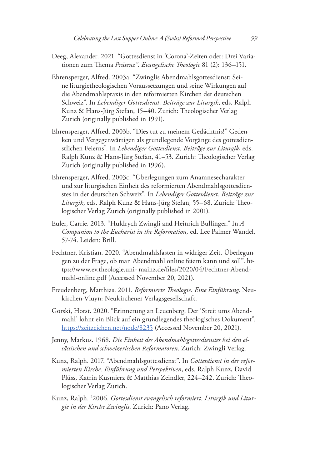- Deeg, Alexander. 2021. "Gottesdienst in 'Corona'-Zeiten oder: Drei Variationen zum Thema *Präsenz". Evangelische Theologie* 81 (2): 136–151.
- Ehrensperger, Alfred. 2003a. "Zwinglis Abendmahlsgottesdienst: Seine liturgietheologischen Voraussetzungen und seine Wirkungen auf die Abendmahlspraxis in den reformierten Kirchen der deutschen Schweiz". In *Lebendiger Gottesdienst. Beiträge zur Liturgik*, eds. Ralph Kunz & Hans-Jürg Stefan, 15–40. Zurich: Theologischer Verlag Zurich (originally published in 1991).
- Ehrensperger, Alfred. 2003b. "Dies tut zu meinem Gedächtnis!" Gedenken und Vergegenwärtigen als grundlegende Vorgänge des gottesdienstlichen Feierns". In *Lebendiger Gottesdienst. Beiträge zur Liturgik*, eds. Ralph Kunz & Hans-Jürg Stefan, 41–53. Zurich: Theologischer Verlag Zurich (originally published in 1996).
- Ehrensperger, Alfred. 2003c. "Überlegungen zum Anamnesecharakter und zur liturgischen Einheit des reformierten Abendmahlsgottesdienstes in der deutschen Schweiz". In *Lebendiger Gottesdienst. Beiträge zur Liturgik*, eds. Ralph Kunz & Hans-Jürg Stefan, 55–68. Zurich: Theologischer Verlag Zurich (originally published in 2001).
- Euler, Carrie. 2013. "Huldrych Zwingli and Heinrich Bullinger." In *A Companion to the Eucharist in the Reformation,* ed. Lee Palmer Wandel, 57-74. Leiden: Brill.
- Fechtner, Kristian. 2020. "Abendmahlsfasten in widriger Zeit. Überlegungen zu der Frage, ob man Abendmahl online feiern kann und soll". https://www.ev.theologie.uni- mainz.de/files/2020/04/Fechtner-Abendmahl-online.pdf (Accessed November 20, 2021).
- Freudenberg, Matthias. 2011. *Reformierte Theologie. Eine Einführung*. Neukirchen-Vluyn: Neukirchener Verlagsgesellschaft.
- Gorski, Horst. 2020. "Erinnerung an Leuenberg. Der 'Streit ums Abendmahl' lohnt ein Blick auf ein grundlegendes theologisches Dokument". https://zeitzeichen.net/node/8235 (Accessed November 20, 2021).
- Jenny, Markus. 1968. *Die Einheit des Abendmahlsgottesdienstes bei den elsässischen und schweizerischen Reformatoren*. Zurich: Zwingli Verlag.
- Kunz, Ralph. 2017. "Abendmahlsgottesdienst". In *Gottesdienst in der reformierten Kirche. Einführung und Perspektiven*, eds. Ralph Kunz, David Plüss, Katrin Kusmierz & Matthias Zeindler, 224–242. Zurich: Theologischer Verlag Zurich.
- Kunz, Ralph. 2 2006. *Gottesdienst evangelisch reformiert. Liturgik und Liturgie in der Kirche Zwinglis*. Zurich: Pano Verlag.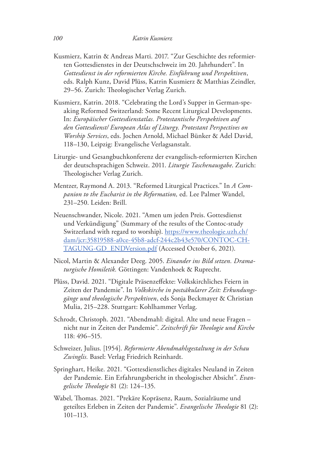- Kusmierz, Katrin & Andreas Marti. 2017. "Zur Geschichte des reformierten Gottesdienstes in der Deutschschweiz im 20. Jahrhundert". In *Gottesdienst in der reformierten Kirche. Einführung und Perspektiven*, eds. Ralph Kunz, David Plüss, Katrin Kusmierz & Matthias Zeindler, 29–56. Zurich: Theologischer Verlag Zurich.
- Kusmierz, Katrin. 2018. "Celebrating the Lord's Supper in German-speaking Reformed Switzerland: Some Recent Liturgical Developments. In: *Europäischer Gottesdienstatlas. Protestantische Perspektiven auf den Gottesdienst/ European Atlas of Liturgy. Protestant Perspectives on Worship Services*, eds. Jochen Arnold, Michael Bünker & Adel David, 118–130, Leipzig: Evangelische Verlagsanstalt.
- Liturgie- und Gesangbuchkonferenz der evangelisch-reformierten Kirchen der deutschsprachigen Schweiz. 2011. *Liturgie Taschenausgabe*. Zurich: Theologischer Verlag Zurich.
- Mentzer, Raymond A. 2013. "Reformed Liturgical Practices." In *A Companion to the Eucharist in the Reformation,* ed. Lee Palmer Wandel, 231–250. Leiden: Brill.
- Neuenschwander, Nicole. 2021. "Amen um jeden Preis. Gottesdienst und Verkündigung" (Summary of the results of the Contoc-study Switzerland with regard to worship). https://www.theologie.uzh.ch/ dam/jcr:35819588-a0ce-45b8-adcf-244c2b43e570/CONTOC-CH-TAGUNG-GD\_ENDVersion.pdf (Accessed October 6, 2021).
- Nicol, Martin & Alexander Deeg. 2005. *Einander ins Bild setzen. Dramaturgische Homiletik.* Göttingen: Vandenhoek & Ruprecht.
- Plüss, David. 2021. "Digitale Präsenzeffekte: Volkskirchliches Feiern in Zeiten der Pandemie". In *Volkskirche in postsäkularer Zeit: Erkundungsgänge und theologische Perspektiven*, eds Sonja Beckmayer & Christian Mulia, 215–228. Stuttgart: Kohlhammer Verlag.
- Schrodt, Christoph. 2021. "Abendmahl: digital. Alte und neue Fragen nicht nur in Zeiten der Pandemie". *Zeitschrift für Theologie und Kirche* 118: 496–515.
- Schweizer, Julius. [1954]. *Reformierte Abendmahlsgestaltung in der Schau Zwinglis.* Basel: Verlag Friedrich Reinhardt.
- Springhart, Heike. 2021. "Gottesdienstliches digitales Neuland in Zeiten der Pandemie. Ein Erfahrungsbericht in theologischer Absicht". *Evangelische Theologie* 81 (2): 124–135.
- Wabel, Thomas. 2021. "Prekäre Kopräsenz, Raum, Sozialräume und geteiltes Erleben in Zeiten der Pandemie". *Evangelische Theologie* 81 (2): 101–113.